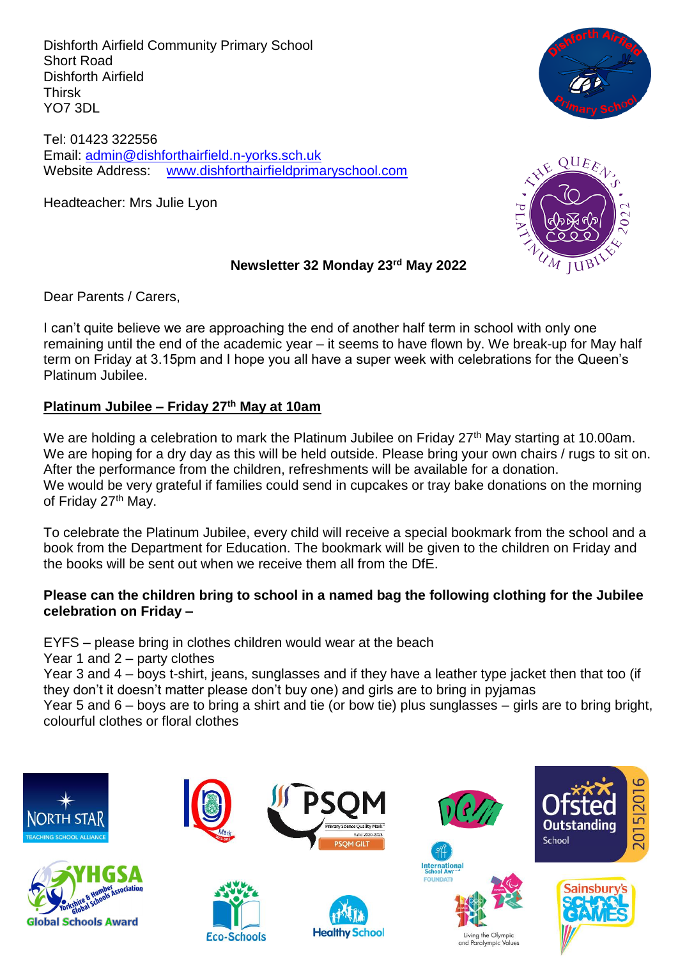Dishforth Airfield Community Primary School Short Road Dishforth Airfield Thirsk YO7 3DL

Tel: 01423 322556 Email: [admin@dishforthairfield.n-yorks.sch.uk](mailto:admin@dishforthairfield.n-yorks.sch.uk) Website Address: [www.dishforthairfieldprimaryschool.com](http://www.dishforthairfieldprimaryschool.com/)

Headteacher: Mrs Julie Lyon





#### **Newsletter 32 Monday 23rd May 2022**

Dear Parents / Carers,

I can't quite believe we are approaching the end of another half term in school with only one remaining until the end of the academic year – it seems to have flown by. We break-up for May half term on Friday at 3.15pm and I hope you all have a super week with celebrations for the Queen's Platinum Jubilee.

#### **Platinum Jubilee – Friday 27th May at 10am**

We are holding a celebration to mark the Platinum Jubilee on Friday 27<sup>th</sup> May starting at 10.00am. We are hoping for a dry day as this will be held outside. Please bring your own chairs / rugs to sit on. After the performance from the children, refreshments will be available for a donation. We would be very grateful if families could send in cupcakes or tray bake donations on the morning of Friday 27<sup>th</sup> May.

To celebrate the Platinum Jubilee, every child will receive a special bookmark from the school and a book from the Department for Education. The bookmark will be given to the children on Friday and the books will be sent out when we receive them all from the DfE.

#### **Please can the children bring to school in a named bag the following clothing for the Jubilee celebration on Friday –**

EYFS – please bring in clothes children would wear at the beach

Year 1 and 2 – party clothes

Year 3 and 4 – boys t-shirt, jeans, sunglasses and if they have a leather type jacket then that too (if they don't it doesn't matter please don't buy one) and girls are to bring in pyjamas

Year 5 and 6 – boys are to bring a shirt and tie (or bow tie) plus sunglasses – girls are to bring bright, colourful clothes or floral clothes

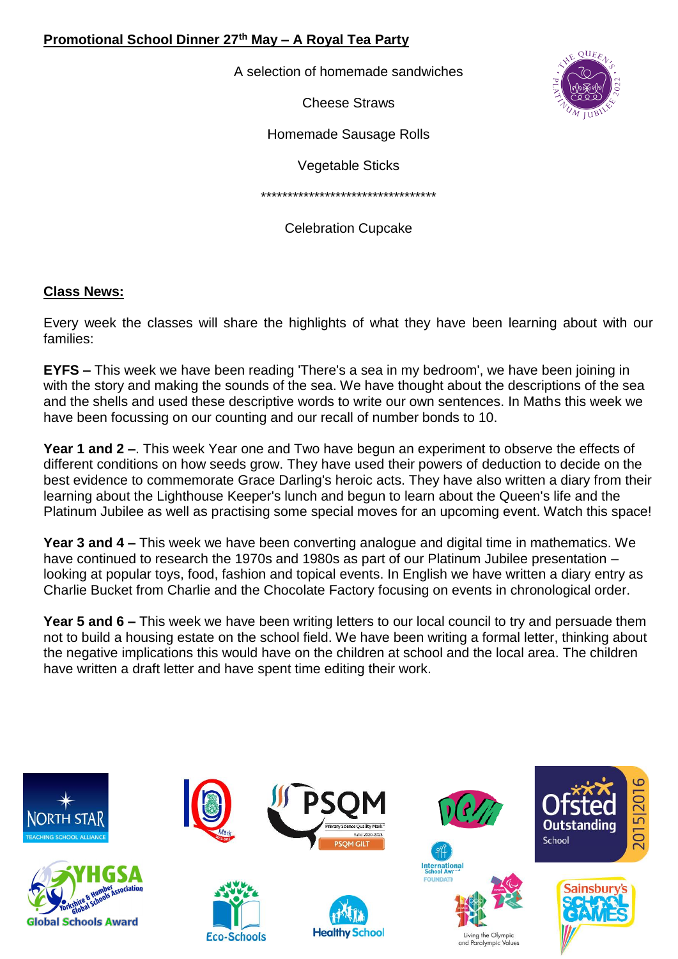## **Promotional School Dinner 27th May – A Royal Tea Party**

A selection of homemade sandwiches

Cheese Straws



Homemade Sausage Rolls

Vegetable Sticks

\*\*\*\*\*\*\*\*\*\*\*\*\*\*\*\*\*\*\*\*\*\*\*\*\*\*\*\*\*\*\*\*\*

Celebration Cupcake

#### **Class News:**

Every week the classes will share the highlights of what they have been learning about with our families:

**EYFS –** This week we have been reading 'There's a sea in my bedroom', we have been joining in with the story and making the sounds of the sea. We have thought about the descriptions of the sea and the shells and used these descriptive words to write our own sentences. In Maths this week we have been focussing on our counting and our recall of number bonds to 10.

**Year 1 and 2 –**. This week Year one and Two have begun an experiment to observe the effects of different conditions on how seeds grow. They have used their powers of deduction to decide on the best evidence to commemorate Grace Darling's heroic acts. They have also written a diary from their learning about the Lighthouse Keeper's lunch and begun to learn about the Queen's life and the Platinum Jubilee as well as practising some special moves for an upcoming event. Watch this space!

**Year 3 and 4 –** This week we have been converting analogue and digital time in mathematics. We have continued to research the 1970s and 1980s as part of our Platinum Jubilee presentation – looking at popular toys, food, fashion and topical events. In English we have written a diary entry as Charlie Bucket from Charlie and the Chocolate Factory focusing on events in chronological order.

**Year 5 and 6 –** This week we have been writing letters to our local council to try and persuade them not to build a housing estate on the school field. We have been writing a formal letter, thinking about the negative implications this would have on the children at school and the local area. The children have written a draft letter and have spent time editing their work.

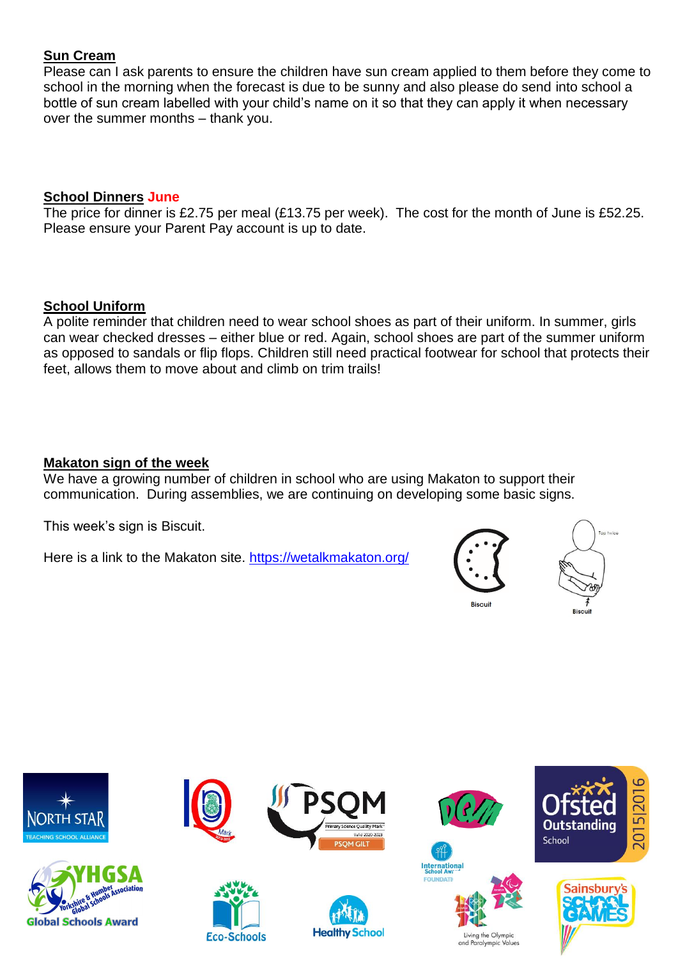## **Sun Cream**

Please can I ask parents to ensure the children have sun cream applied to them before they come to school in the morning when the forecast is due to be sunny and also please do send into school a bottle of sun cream labelled with your child's name on it so that they can apply it when necessary over the summer months – thank you.

#### **School Dinners June**

The price for dinner is £2.75 per meal (£13.75 per week). The cost for the month of June is £52.25. Please ensure your Parent Pay account is up to date.

#### **School Uniform**

A polite reminder that children need to wear school shoes as part of their uniform. In summer, girls can wear checked dresses – either blue or red. Again, school shoes are part of the summer uniform as opposed to sandals or flip flops. Children still need practical footwear for school that protects their feet, allows them to move about and climb on trim trails!

#### **Makaton sign of the week**

We have a growing number of children in school who are using Makaton to support their communication. During assemblies, we are continuing on developing some basic signs.

This week's sign is Biscuit.

Here is a link to the Makaton site.<https://wetalkmakaton.org/>



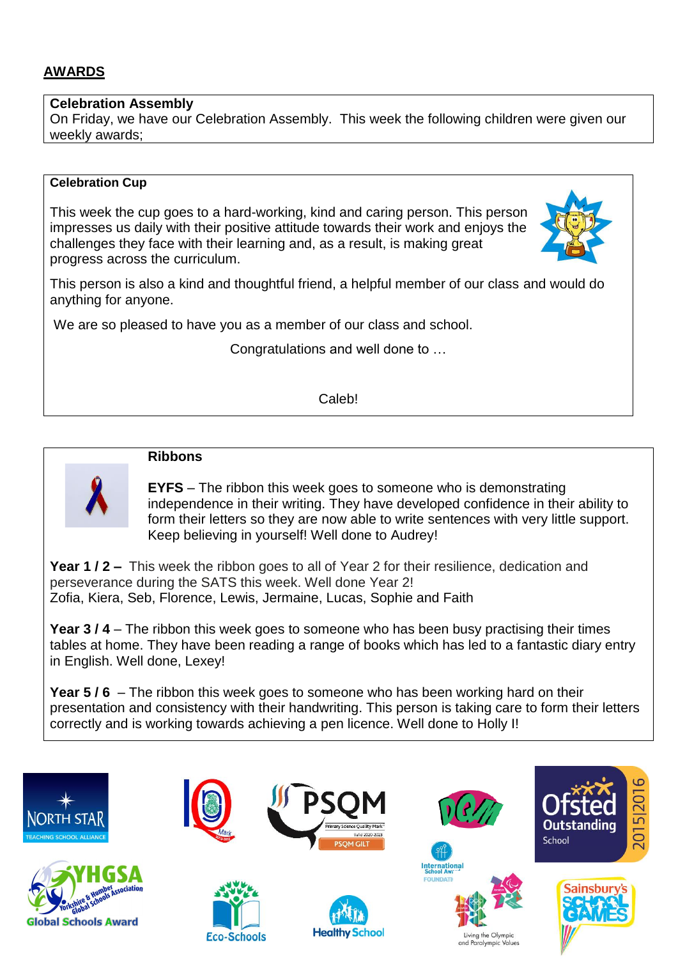## **AWARDS**

#### **Celebration Assembly**

On Friday, we have our Celebration Assembly. This week the following children were given our weekly awards;

#### **Celebration Cup**

This week the cup goes to a hard-working, kind and caring person. This person impresses us daily with their positive attitude towards their work and enjoys the challenges they face with their learning and, as a result, is making great progress across the curriculum.



This person is also a kind and thoughtful friend, a helpful member of our class and would do anything for anyone.

We are so pleased to have you as a member of our class and school.

Congratulations and well done to …

Caleb!



## **Ribbons**

**EYFS** – The ribbon this week goes to someone who is demonstrating independence in their writing. They have developed confidence in their ability to form their letters so they are now able to write sentences with very little support. Keep believing in yourself! Well done to Audrey!

**Year 1 / 2 –** This week the ribbon goes to all of Year 2 for their resilience, dedication and perseverance during the SATS this week. Well done Year 2! Zofia, Kiera, Seb, Florence, Lewis, Jermaine, Lucas, Sophie and Faith

**Year 3 / 4** – The ribbon this week goes to someone who has been busy practising their times tables at home. They have been reading a range of books which has led to a fantastic diary entry in English. Well done, Lexey!

**Year 5 / 6** – The ribbon this week goes to someone who has been working hard on their presentation and consistency with their handwriting. This person is taking care to form their letters correctly and is working towards achieving a pen licence. Well done to Holly I!

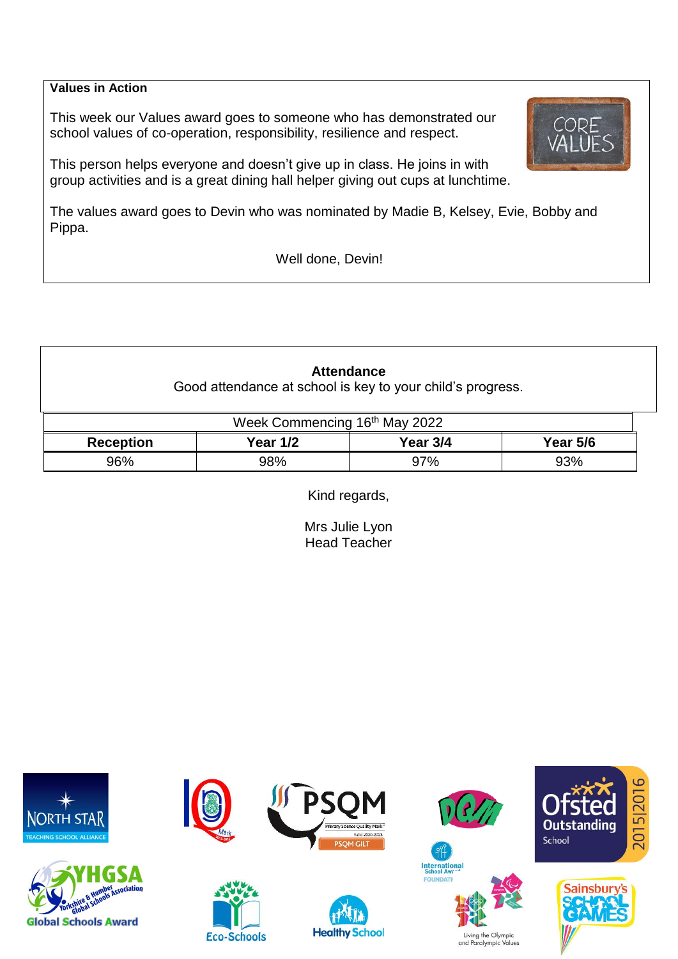### **Values in Action**

This week our Values award goes to someone who has demonstrated our school values of co-operation, responsibility, resilience and respect.

This person helps everyone and doesn't give up in class. He joins in with group activities and is a great dining hall helper giving out cups at lunchtime.

The values award goes to Devin who was nominated by Madie B, Kelsey, Evie, Bobby and Pippa.

Well done, Devin!

**Attendance** Good attendance at school is key to your child's progress.

| Week Commencing 16 <sup>th</sup> May 2022 |                 |          |                 |  |  |  |
|-------------------------------------------|-----------------|----------|-----------------|--|--|--|
| <b>Reception</b>                          | <b>Year 1/2</b> | Year 3/4 | <b>Year 5/6</b> |  |  |  |
| 96%                                       | 98%             | 97%      | 93%             |  |  |  |

Kind regards,

Mrs Julie Lyon Head Teacher